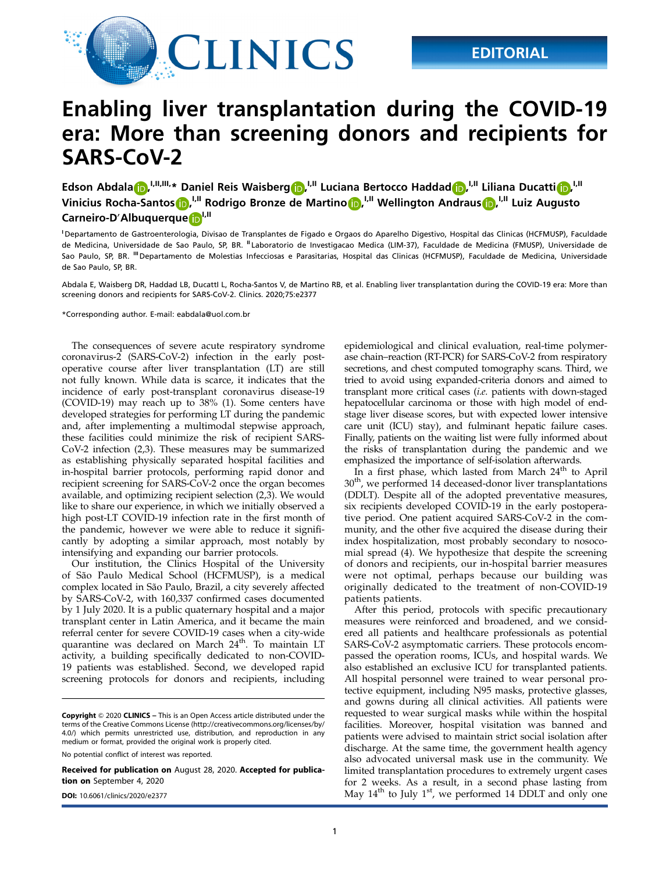

## Enabling liver transplantation during the COVID-19 era: More than screening donors and recipients for SARS-CoV-2

Edson Abdala D, I, II, III, \* Daniel Reis Waisberg D, <sup>I, II</sup> Luciana Bertocco Haddad D, <sup>I, II</sup> Liliana Ducatti D, <sup>I, II</sup> Vinicius Rocha-Santos $\bigcirc$ , <sup>I,II</sup> Rodrigo Bronze de Martino $\bigcirc$ , <sup>I,II</sup> Wellington Andraus $\bigcirc$ , <sup>I,II</sup> Luiz Augusto Carneiro-D'Albuquerque<sup>nd</sup>

<sup>1</sup> Departamento de Gastroenterologia, Divisao de Transplantes de Figado e Orgaos do Aparelho Digestivo, Hospital das Clinicas (HCFMUSP), Faculdade de Medicina, Universidade de Sao Paulo, SP, BR. "Laboratorio de Investigacao Medica (LIM-37), Faculdade de Medicina (FMUSP), Universidade de Sao Paulo, SP, BR. <sup>III</sup> Departamento de Molestias Infecciosas e Parasitarias, Hospital das Clinicas (HCFMUSP), Faculdade de Medicina, Universidade de Sao Paulo, SP, BR.

Abdala E, Waisberg DR, Haddad LB, DucattI L, Rocha-Santos V, de Martino RB, et al. Enabling liver transplantation during the COVID-19 era: More than screening donors and recipients for SARS-CoV-2. Clinics. 2020;75:e2377

\*Corresponding author. E-mail: [eabdala@uol.com.br](mailto:eabdala@uol.com.br)

The consequences of severe acute respiratory syndrome coronavirus-2 (SARS-CoV-2) infection in the early postoperative course after liver transplantation (LT) are still not fully known. While data is scarce, it indicates that the incidence of early post-transplant coronavirus disease-19 (COVID-19) may reach up to 38% (1). Some centers have developed strategies for performing LT during the pandemic and, after implementing a multimodal stepwise approach, these facilities could minimize the risk of recipient SARS-CoV-2 infection (2,3). These measures may be summarized as establishing physically separated hospital facilities and in-hospital barrier protocols, performing rapid donor and recipient screening for SARS-CoV-2 once the organ becomes available, and optimizing recipient selection (2,3). We would like to share our experience, in which we initially observed a high post-LT COVID-19 infection rate in the first month of the pandemic, however we were able to reduce it significantly by adopting a similar approach, most notably by intensifying and expanding our barrier protocols.

Our institution, the Clinics Hospital of the University of São Paulo Medical School (HCFMUSP), is a medical complex located in São Paulo, Brazil, a city severely affected by SARS-CoV-2, with 160,337 confirmed cases documented by 1 July 2020. It is a public quaternary hospital and a major transplant center in Latin America, and it became the main referral center for severe COVID-19 cases when a city-wide quarantine was declared on March 24<sup>th</sup>. To maintain LT activity, a building specifically dedicated to non-COVID-19 patients was established. Second, we developed rapid screening protocols for donors and recipients, including

No potential conflict of interest was reported.

Received for publication on August 28, 2020. Accepted for publication on September 4, 2020

epidemiological and clinical evaluation, real-time polymerase chain–reaction (RT-PCR) for SARS-CoV-2 from respiratory secretions, and chest computed tomography scans. Third, we tried to avoid using expanded-criteria donors and aimed to transplant more critical cases (i.e. patients with down-staged hepatocellular carcinoma or those with high model of endstage liver disease scores, but with expected lower intensive care unit (ICU) stay), and fulminant hepatic failure cases. Finally, patients on the waiting list were fully informed about the risks of transplantation during the pandemic and we emphasized the importance of self-isolation afterwards.

In a first phase, which lasted from March 24<sup>th</sup> to April 30<sup>th</sup>, we performed 14 deceased-donor liver transplantations (DDLT). Despite all of the adopted preventative measures, six recipients developed COVID-19 in the early postoperative period. One patient acquired SARS-CoV-2 in the community, and the other five acquired the disease during their index hospitalization, most probably secondary to nosocomial spread (4). We hypothesize that despite the screening of donors and recipients, our in-hospital barrier measures were not optimal, perhaps because our building was originally dedicated to the treatment of non-COVID-19 patients patients.

After this period, protocols with specific precautionary measures were reinforced and broadened, and we considered all patients and healthcare professionals as potential SARS-CoV-2 asymptomatic carriers. These protocols encompassed the operation rooms, ICUs, and hospital wards. We also established an exclusive ICU for transplanted patients. All hospital personnel were trained to wear personal protective equipment, including N95 masks, protective glasses, and gowns during all clinical activities. All patients were requested to wear surgical masks while within the hospital facilities. Moreover, hospital visitation was banned and patients were advised to maintain strict social isolation after discharge. At the same time, the government health agency also advocated universal mask use in the community. We limited transplantation procedures to extremely urgent cases for 2 weeks. As a result, in a second phase lasting from **DOI:** [10.6061/clinics/2020/e2377](https://doi.org/10.6061/clinics/2020/e2377) **May 14<sup>th</sup> to July 1<sup>st</sup>, we performed 14 DDLT and only one** 

Copyright © 2020 CLINICS – This is an Open Access article distributed under the terms of the Creative Commons License (http://creativecommons.org/licenses/by/ 4.0/) which permits unrestricted use, distribution, and reproduction in any medium or format, provided the original work is properly cited.